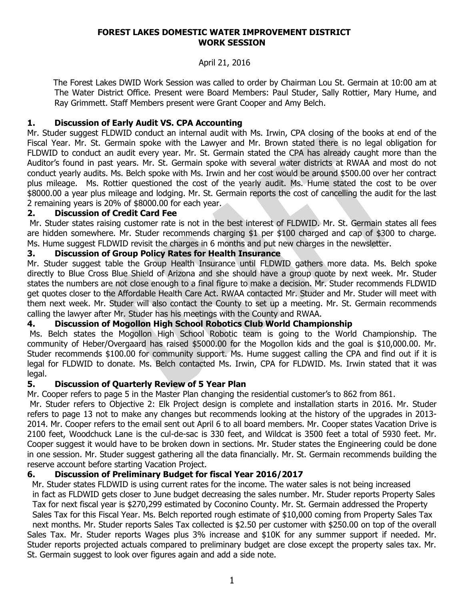#### **FOREST LAKES DOMESTIC WATER IMPROVEMENT DISTRICT WORK SESSION**

## April 21, 2016

 The Forest Lakes DWID Work Session was called to order by Chairman Lou St. Germain at 10:00 am at The Water District Office. Present were Board Members: Paul Studer, Sally Rottier, Mary Hume, and Ray Grimmett. Staff Members present were Grant Cooper and Amy Belch.

## **1. Discussion of Early Audit VS. CPA Accounting**

Mr. Studer suggest FLDWID conduct an internal audit with Ms. Irwin, CPA closing of the books at end of the Fiscal Year. Mr. St. Germain spoke with the Lawyer and Mr. Brown stated there is no legal obligation for FLDWID to conduct an audit every year. Mr. St. Germain stated the CPA has already caught more than the Auditor's found in past years. Mr. St. Germain spoke with several water districts at RWAA and most do not conduct yearly audits. Ms. Belch spoke with Ms. Irwin and her cost would be around \$500.00 over her contract plus mileage. Ms. Rottier questioned the cost of the yearly audit. Ms. Hume stated the cost to be over \$8000.00 a year plus mileage and lodging. Mr. St. Germain reports the cost of cancelling the audit for the last 2 remaining years is 20% of \$8000.00 for each year.

#### **2. Discussion of Credit Card Fee**

Mr. Studer states raising customer rate is not in the best interest of FLDWID. Mr. St. Germain states all fees are hidden somewhere. Mr. Studer recommends charging \$1 per \$100 charged and cap of \$300 to charge. Ms. Hume suggest FLDWID revisit the charges in 6 months and put new charges in the newsletter.

### **3. Discussion of Group Policy Rates for Health Insurance**

Mr. Studer suggest table the Group Health Insurance until FLDWID gathers more data. Ms. Belch spoke directly to Blue Cross Blue Shield of Arizona and she should have a group quote by next week. Mr. Studer states the numbers are not close enough to a final figure to make a decision. Mr. Studer recommends FLDWID get quotes closer to the Affordable Health Care Act. RWAA contacted Mr. Studer and Mr. Studer will meet with them next week. Mr. Studer will also contact the County to set up a meeting. Mr. St. Germain recommends calling the lawyer after Mr. Studer has his meetings with the County and RWAA.

## **4. Discussion of Mogollon High School Robotics Club World Championship**

Ms. Belch states the Mogollon High School Robotic team is going to the World Championship. The community of Heber/Overgaard has raised \$5000.00 for the Mogollon kids and the goal is \$10,000.00. Mr. Studer recommends \$100.00 for community support. Ms. Hume suggest calling the CPA and find out if it is legal for FLDWID to donate. Ms. Belch contacted Ms. Irwin, CPA for FLDWID. Ms. Irwin stated that it was legal.

### **5. Discussion of Quarterly Review of 5 Year Plan**

Mr. Cooper refers to page 5 in the Master Plan changing the residential customer's to 862 from 861.

Mr. Studer refers to Objective 2: Elk Project design is complete and installation starts in 2016. Mr. Studer refers to page 13 not to make any changes but recommends looking at the history of the upgrades in 2013- 2014. Mr. Cooper refers to the email sent out April 6 to all board members. Mr. Cooper states Vacation Drive is 2100 feet, Woodchuck Lane is the cul-de-sac is 330 feet, and Wildcat is 3500 feet a total of 5930 feet. Mr. Cooper suggest it would have to be broken down in sections. Mr. Studer states the Engineering could be done in one session. Mr. Studer suggest gathering all the data financially. Mr. St. Germain recommends building the reserve account before starting Vacation Project.

## **6. Discussion of Preliminary Budget for fiscal Year 2016/2017**

Mr. Studer states FLDWID is using current rates for the income. The water sales is not being increased in fact as FLDWID gets closer to June budget decreasing the sales number. Mr. Studer reports Property Sales Tax for next fiscal year is \$270,299 estimated by Coconino County. Mr. St. Germain addressed the Property Sales Tax for this Fiscal Year. Ms. Belch reported rough estimate of \$10,000 coming from Property Sales Tax next months. Mr. Studer reports Sales Tax collected is \$2.50 per customer with \$250.00 on top of the overall Sales Tax. Mr. Studer reports Wages plus 3% increase and \$10K for any summer support if needed. Mr. Studer reports projected actuals compared to preliminary budget are close except the property sales tax. Mr. St. Germain suggest to look over figures again and add a side note.